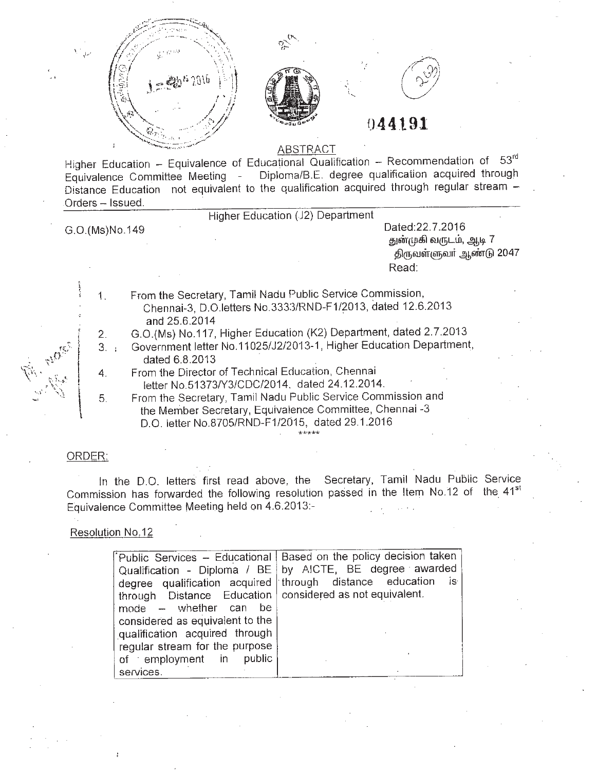





# **044191**

#### **ABSTRACT**

Higher Education - Equivalence of Educational Qualification - Recommendation of 53rd Equivalence Committee Meeting - Diploma/B.E. degree qualification acquired through Distance Education not equivalent to the qualification acquired through regular stream - Orders - Issued.

Higher Education (J2) Department

G.0(Ms)No.149

1.

5.

Dated:22.7.2016 துன்முகி வருடம், ஆடி 7 திருவள்ளுவர் ஆண்டு 2047 Read:

From the Secretary, Tamil Nadu Public Service Commission, Chennai-3, D.O.letters No 3333/RND-F1/2013, dated 12.6.2013 and 25.6.2014

2.

G.O.(Ms) NO.117, Higher Education (K2) Department, dated 2.7.2013

3. Government letter NO.11025/J2/2013-1, Higher Education Department, dated 6.8.2013 .

- 4. From the Director of Technical Education, Chennai letter NO.513731Y3/CDC/2014. dated 24.12.2014.
	- From the Secretary, Tamil Nadu Public Service Commission and the Member Secretary, Equivalence Committee, Chennai -3 D.O. letter No.8705/RND-F1/2015, dated 29.1.2016

## ORDER:

In the D.O. letters first read above, the Secretary, Tamil Nadu Public Service Commission has forwarded the following resolution passed in the Item No.12 of the 41<sup>st</sup> Equivalence Committee Meeting held on 4.6.2013:-

## Resolution NO.12

|                                                            | Public Services - Educational   Based on the policy decision taken |
|------------------------------------------------------------|--------------------------------------------------------------------|
|                                                            | Qualification - Diploma / BE   by AICTE, BE degree awarded         |
|                                                            | degree qualification acquired through distance education is        |
| through Distance Education   considered as not equivalent. |                                                                    |
| - be<br>mode - whether can                                 |                                                                    |
| considered as equivalent to the                            |                                                                    |
| qualification acquired through                             |                                                                    |
| regular stream for the purpose                             |                                                                    |
| of employment in<br>public                                 |                                                                    |
| services.                                                  |                                                                    |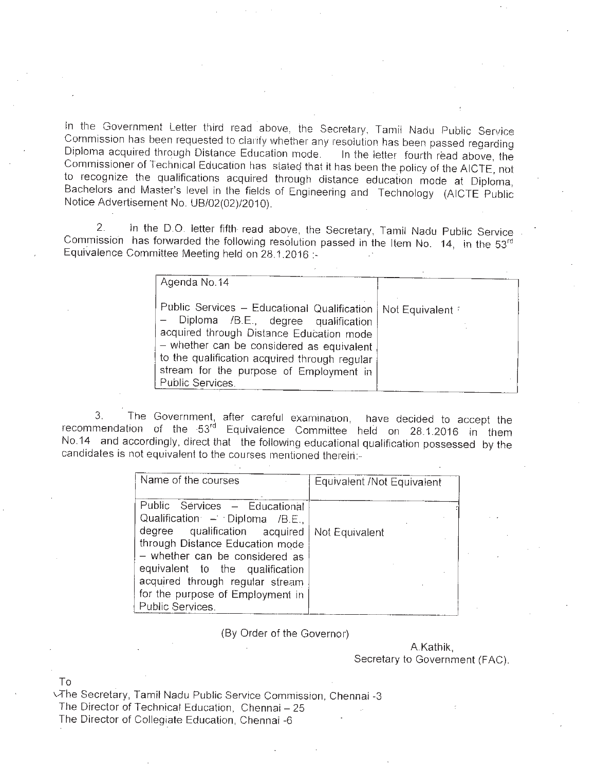In the Government Letter third read above, the Secretary, Tamil Nadu Public Service Commission has been requested to clarify whether any resolution has been passed regarding Diploma acquired through Distance Education mode. In the letter fourth read above, the Commissioner of Technical Education has stated that it has been the policy of the AICTE, not to recognize the qualifications acquired through distance education mode at Diploma, Bachelors and Master's level in the fields of Engineering and Technology (AICTE Public Notice Advertisement No. *UB/02(02)/2010)*

2. In the D.O. letter fifth read above, the Secretary, Tamil Nadu Public Service Commission has forwarded the following resolution passed in the Item No.  $14$ , in the  $53<sup>rd</sup>$ Equivalence Committee Meeting held on 28.1.2016

| Agenda No. 14                                                                                                                                                                                                                                                                                   |                 |
|-------------------------------------------------------------------------------------------------------------------------------------------------------------------------------------------------------------------------------------------------------------------------------------------------|-----------------|
| Public Services - Educational Qualification  <br>- Diploma /B.E., degree qualification<br>acquired through Distance Education mode<br>- whether can be considered as equivalent<br>to the qualification acquired through regular<br>stream for the purpose of Employment in<br>Public Services. | Not Equivalent: |

3. The Government, after careful examination, have decided to accept the recommendation of the 53<sup>rd</sup> Equivalence Committee held on 28.1.2016 in them No.14 and accordingly, direct that the following educational qualification possessed by the candidates is not equivalent to the courses mentioned therein:-

| Name of the courses                                                                                                                                                                                                                                                                                 | Equivalent /Not Equivalent |
|-----------------------------------------------------------------------------------------------------------------------------------------------------------------------------------------------------------------------------------------------------------------------------------------------------|----------------------------|
| Public Sérvices - Educational<br>Qualification - Diploma /B.E.,<br>degree qualification acquired<br>through Distance Education mode<br>- whether can be considered as<br>equivalent to the qualification<br>acquired through regular stream<br>for the purpose of Employment in<br>Public Services. | Not Equivalent             |

(By Order of the Governor)

A.Kathik, Secretary to Government (FAC).

To

\.-The Secretary, Tamil Nadu Public Service Commission, Chennai -3 The Director of Technical Education, Chennai - 25

The Director of Collegiate Education, Chennai -6